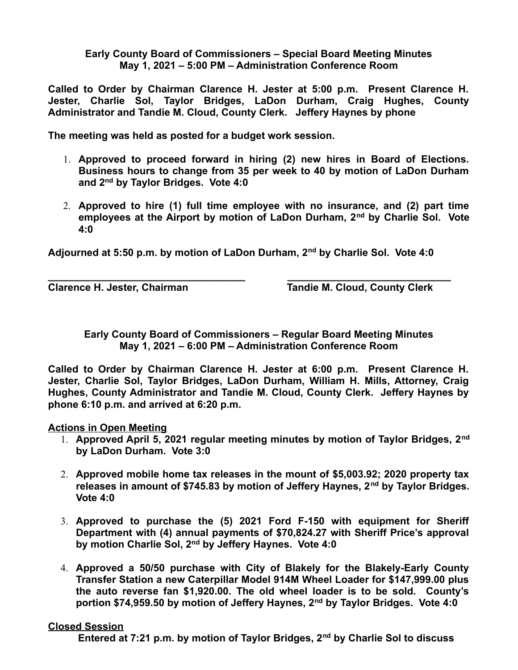**Early County Board of Commissioners – Special Board Meeting Minutes May 1, 2021 – 5:00 PM – Administration Conference Room**

**Called to Order by Chairman Clarence H. Jester at 5:00 p.m. Present Clarence H. Jester, Charlie Sol, Taylor Bridges, LaDon Durham, Craig Hughes, County Administrator and Tandie M. Cloud, County Clerk. Jeffery Haynes by phone**

**The meeting was held as posted for a budget work session.**

- 1. **Approved to proceed forward in hiring (2) new hires in Board of Elections. Business hours to change from 35 per week to 40 by motion of LaDon Durham and 2nd by Taylor Bridges. Vote 4:0**
- 2. **Approved to hire (1) full time employee with no insurance, and (2) part time employees at the Airport by motion of LaDon Durham, 2nd by Charlie Sol. Vote 4:0**

**Adjourned at 5:50 p.m. by motion of LaDon Durham, 2nd by Charlie Sol. Vote 4:0**

**\_\_\_\_\_\_\_\_\_\_\_\_\_\_\_\_\_\_\_\_\_\_\_\_\_\_\_\_\_\_\_\_\_\_\_ \_\_\_\_\_\_\_\_\_\_\_\_\_\_\_\_\_\_\_\_\_\_\_\_\_\_\_\_\_**

**Clarence H. Jester, Chairman Tandie M. Cloud, County Clerk**

**Early County Board of Commissioners – Regular Board Meeting Minutes May 1, 2021 – 6:00 PM – Administration Conference Room**

**Called to Order by Chairman Clarence H. Jester at 6:00 p.m. Present Clarence H. Jester, Charlie Sol, Taylor Bridges, LaDon Durham, William H. Mills, Attorney, Craig Hughes, County Administrator and Tandie M. Cloud, County Clerk. Jeffery Haynes by phone 6:10 p.m. and arrived at 6:20 p.m.**

**Actions in Open Meeting**

- 1. **Approved April 5, 2021 regular meeting minutes by motion of Taylor Bridges, 2nd by LaDon Durham. Vote 3:0**
- 2. **Approved mobile home tax releases in the mount of \$5,003.92; 2020 property tax releases in amount of \$745.83 by motion of Jeffery Haynes, 2nd by Taylor Bridges. Vote 4:0**
- 3. **Approved to purchase the (5) 2021 Ford F-150 with equipment for Sheriff Department with (4) annual payments of \$70,824.27 with Sheriff Price's approval by motion Charlie Sol, 2nd by Jeffery Haynes. Vote 4:0**
- 4. **Approved a 50/50 purchase with City of Blakely for the Blakely-Early County Transfer Station a new Caterpillar Model 914M Wheel Loader for \$147,999.00 plus the auto reverse fan \$1,920.00. The old wheel loader is to be sold. County's portion \$74,959.50 by motion of Jeffery Haynes, 2nd by Taylor Bridges. Vote 4:0**

## **Closed Session**

**Entered at 7:21 p.m. by motion of Taylor Bridges, 2nd by Charlie Sol to discuss**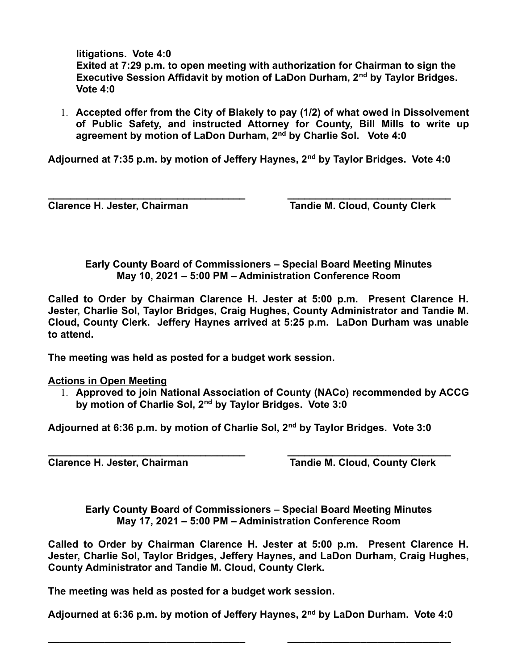**litigations. Vote 4:0** 

 **Exited at 7:29 p.m. to open meeting with authorization for Chairman to sign the Executive Session Affidavit by motion of LaDon Durham, 2nd by Taylor Bridges. Vote 4:0** 

1. **Accepted offer from the City of Blakely to pay (1/2) of what owed in Dissolvement of Public Safety, and instructed Attorney for County, Bill Mills to write up agreement by motion of LaDon Durham, 2nd by Charlie Sol. Vote 4:0**

**Adjourned at 7:35 p.m. by motion of Jeffery Haynes, 2nd by Taylor Bridges. Vote 4:0**

**\_\_\_\_\_\_\_\_\_\_\_\_\_\_\_\_\_\_\_\_\_\_\_\_\_\_\_\_\_\_\_\_\_\_\_ \_\_\_\_\_\_\_\_\_\_\_\_\_\_\_\_\_\_\_\_\_\_\_\_\_\_\_\_\_**

**Clarence H. Jester, Chairman Tandie M. Cloud, County Clerk** 

**Early County Board of Commissioners – Special Board Meeting Minutes May 10, 2021 – 5:00 PM – Administration Conference Room**

**Called to Order by Chairman Clarence H. Jester at 5:00 p.m. Present Clarence H. Jester, Charlie Sol, Taylor Bridges, Craig Hughes, County Administrator and Tandie M. Cloud, County Clerk. Jeffery Haynes arrived at 5:25 p.m. LaDon Durham was unable to attend.**

**The meeting was held as posted for a budget work session.**

## **Actions in Open Meeting**

1. **Approved to join National Association of County (NACo) recommended by ACCG by motion of Charlie Sol, 2nd by Taylor Bridges. Vote 3:0**

**Adjourned at 6:36 p.m. by motion of Charlie Sol, 2nd by Taylor Bridges. Vote 3:0**

**\_\_\_\_\_\_\_\_\_\_\_\_\_\_\_\_\_\_\_\_\_\_\_\_\_\_\_\_\_\_\_\_\_\_\_ \_\_\_\_\_\_\_\_\_\_\_\_\_\_\_\_\_\_\_\_\_\_\_\_\_\_\_\_\_ Clarence H. Jester, Chairman Tandie M. Cloud, County Clerk** 

**Early County Board of Commissioners – Special Board Meeting Minutes May 17, 2021 – 5:00 PM – Administration Conference Room**

**Called to Order by Chairman Clarence H. Jester at 5:00 p.m. Present Clarence H. Jester, Charlie Sol, Taylor Bridges, Jeffery Haynes, and LaDon Durham, Craig Hughes, County Administrator and Tandie M. Cloud, County Clerk.** 

**The meeting was held as posted for a budget work session.**

**Adjourned at 6:36 p.m. by motion of Jeffery Haynes, 2nd by LaDon Durham. Vote 4:0**

**\_\_\_\_\_\_\_\_\_\_\_\_\_\_\_\_\_\_\_\_\_\_\_\_\_\_\_\_\_\_\_\_\_\_\_ \_\_\_\_\_\_\_\_\_\_\_\_\_\_\_\_\_\_\_\_\_\_\_\_\_\_\_\_\_**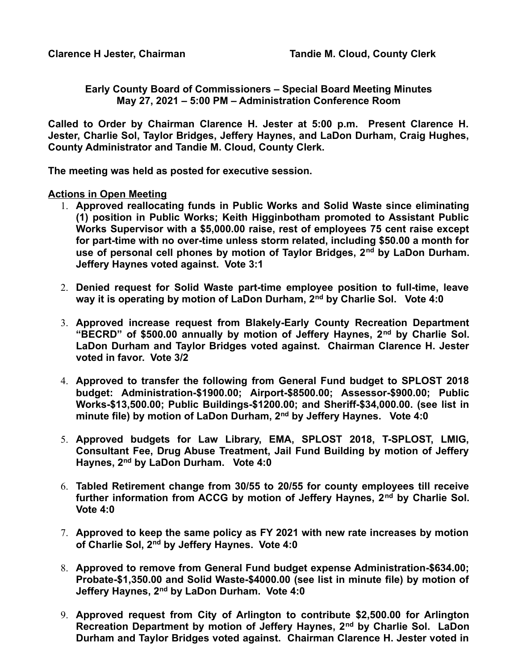**Early County Board of Commissioners – Special Board Meeting Minutes May 27, 2021 – 5:00 PM – Administration Conference Room**

**Called to Order by Chairman Clarence H. Jester at 5:00 p.m. Present Clarence H. Jester, Charlie Sol, Taylor Bridges, Jeffery Haynes, and LaDon Durham, Craig Hughes, County Administrator and Tandie M. Cloud, County Clerk.** 

**The meeting was held as posted for executive session.**

**Actions in Open Meeting**

- 1. **Approved reallocating funds in Public Works and Solid Waste since eliminating (1) position in Public Works; Keith Higginbotham promoted to Assistant Public Works Supervisor with a \$5,000.00 raise, rest of employees 75 cent raise except for part-time with no over-time unless storm related, including \$50.00 a month for use of personal cell phones by motion of Taylor Bridges, 2nd by LaDon Durham. Jeffery Haynes voted against. Vote 3:1**
- 2. **Denied request for Solid Waste part-time employee position to full-time, leave way it is operating by motion of LaDon Durham, 2nd by Charlie Sol. Vote 4:0**
- 3. **Approved increase request from Blakely-Early County Recreation Department "BECRD" of \$500.00 annually by motion of Jeffery Haynes, 2nd by Charlie Sol. LaDon Durham and Taylor Bridges voted against. Chairman Clarence H. Jester voted in favor. Vote 3/2**
- 4. **Approved to transfer the following from General Fund budget to SPLOST 2018 budget: Administration-\$1900.00; Airport-\$8500.00; Assessor-\$900.00; Public Works-\$13,500.00; Public Buildings-\$1200.00; and Sheriff-\$34,000.00. (see list in minute file) by motion of LaDon Durham, 2nd by Jeffery Haynes. Vote 4:0**
- 5. **Approved budgets for Law Library, EMA, SPLOST 2018, T-SPLOST, LMIG, Consultant Fee, Drug Abuse Treatment, Jail Fund Building by motion of Jeffery Haynes, 2nd by LaDon Durham. Vote 4:0**
- 6. **Tabled Retirement change from 30/55 to 20/55 for county employees till receive further information from ACCG by motion of Jeffery Haynes, 2nd by Charlie Sol. Vote 4:0**
- 7. **Approved to keep the same policy as FY 2021 with new rate increases by motion of Charlie Sol, 2nd by Jeffery Haynes. Vote 4:0**
- 8. **Approved to remove from General Fund budget expense Administration-\$634.00; Probate-\$1,350.00 and Solid Waste-\$4000.00 (see list in minute file) by motion of Jeffery Haynes, 2nd by LaDon Durham. Vote 4:0**
- 9. **Approved request from City of Arlington to contribute \$2,500.00 for Arlington Recreation Department by motion of Jeffery Haynes, 2nd by Charlie Sol. LaDon Durham and Taylor Bridges voted against. Chairman Clarence H. Jester voted in**